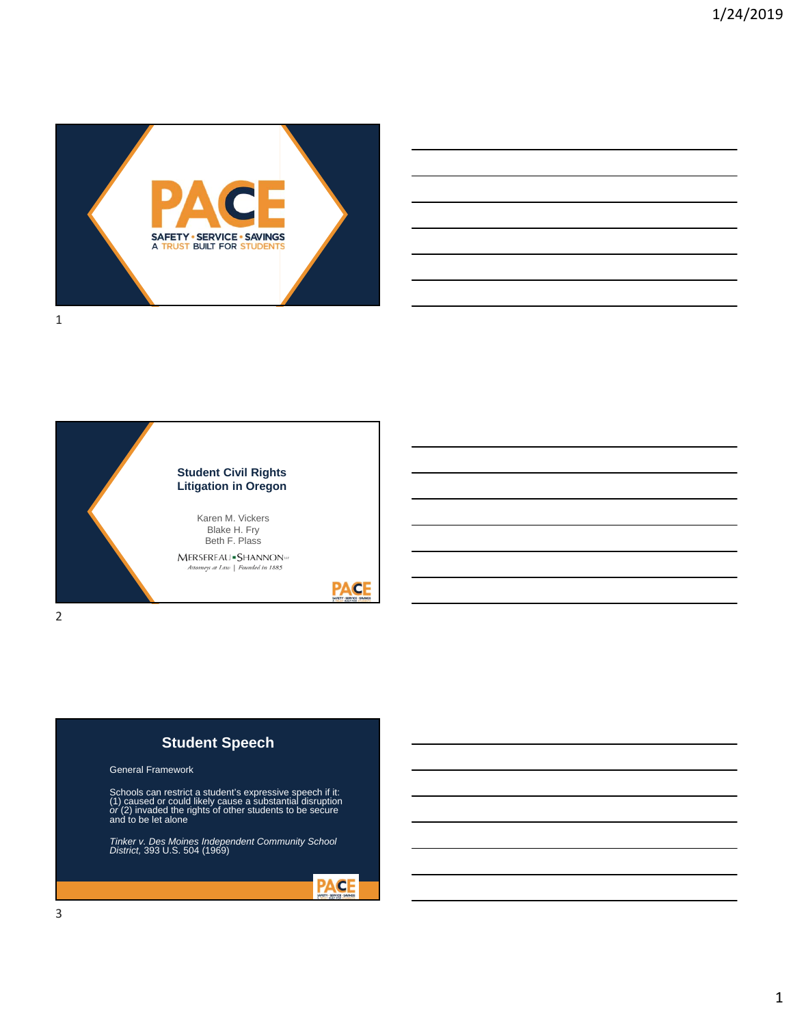





# **Student Speech**

#### General Framework

Schools can restrict a student's expressive speech if it:<br>(1) caused or could likely cause a substantial disruption<br>*or* (2) invaded the rights of other students to be secure<br>and to be let alone

*Tinker v. Des Moines Independent Community School District,* 393 U.S. 504 (1969)

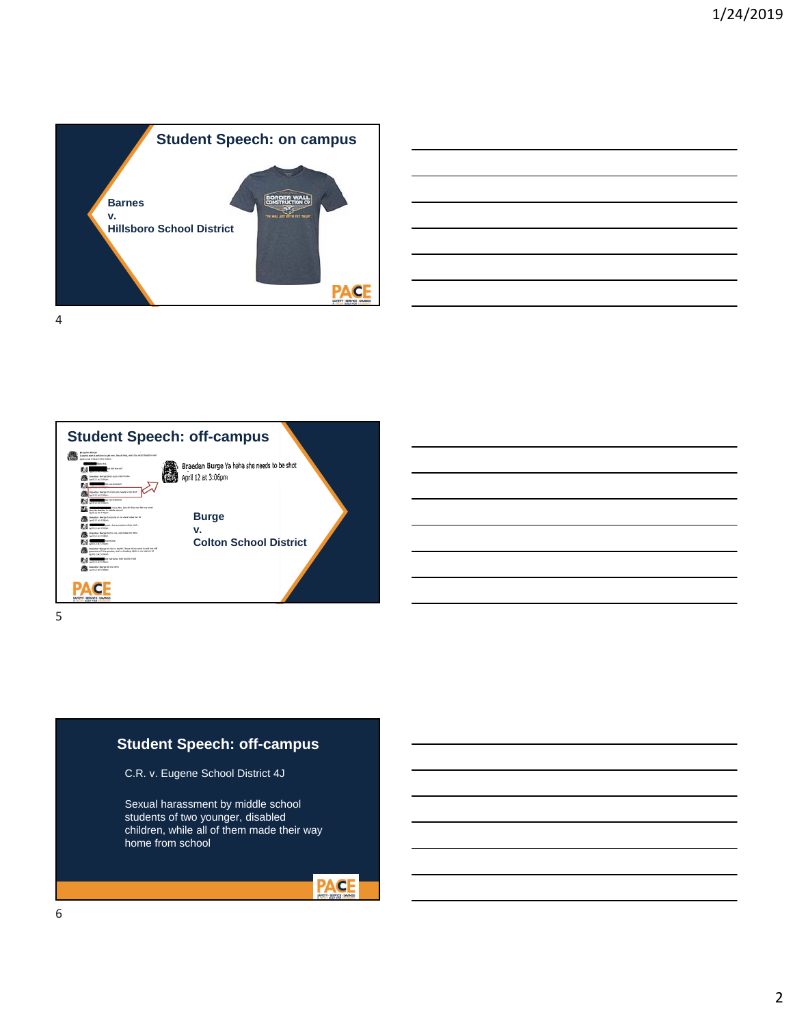



# **Student Speech: off-campus**

C.R. v. Eugene School District 4J

Sexual harassment by middle school students of two younger, disabled children, while all of them made their way home from school

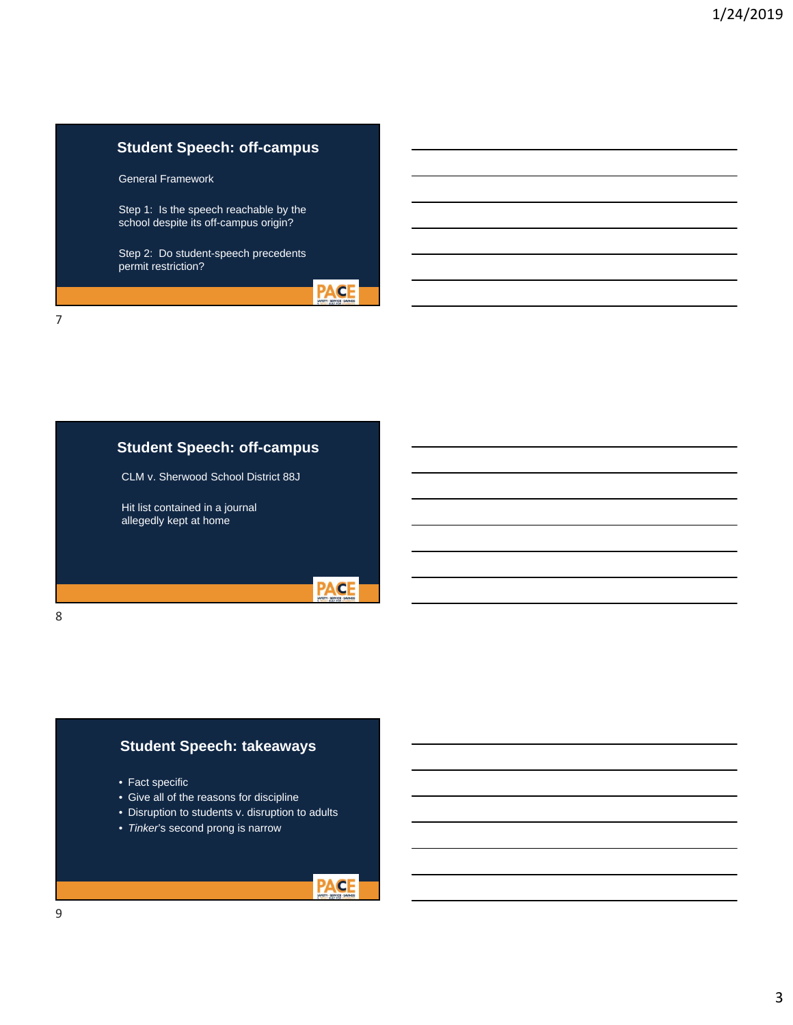## **Student Speech: off-campus**

General Framework

Step 1: Is the speech reachable by the school despite its off-campus origin?

Step 2: Do student-speech precedents permit restriction?

7

#### **Student Speech: off-campus**

CLM v. Sherwood School District 88J

Hit list contained in a journal allegedly kept at home

8

#### **Student Speech: takeaways**

- Fact specific
- Give all of the reasons for discipline
- Disruption to students v. disruption to adults
- *Tinker*'s second prong is narrow



**PACE** 

**PACE**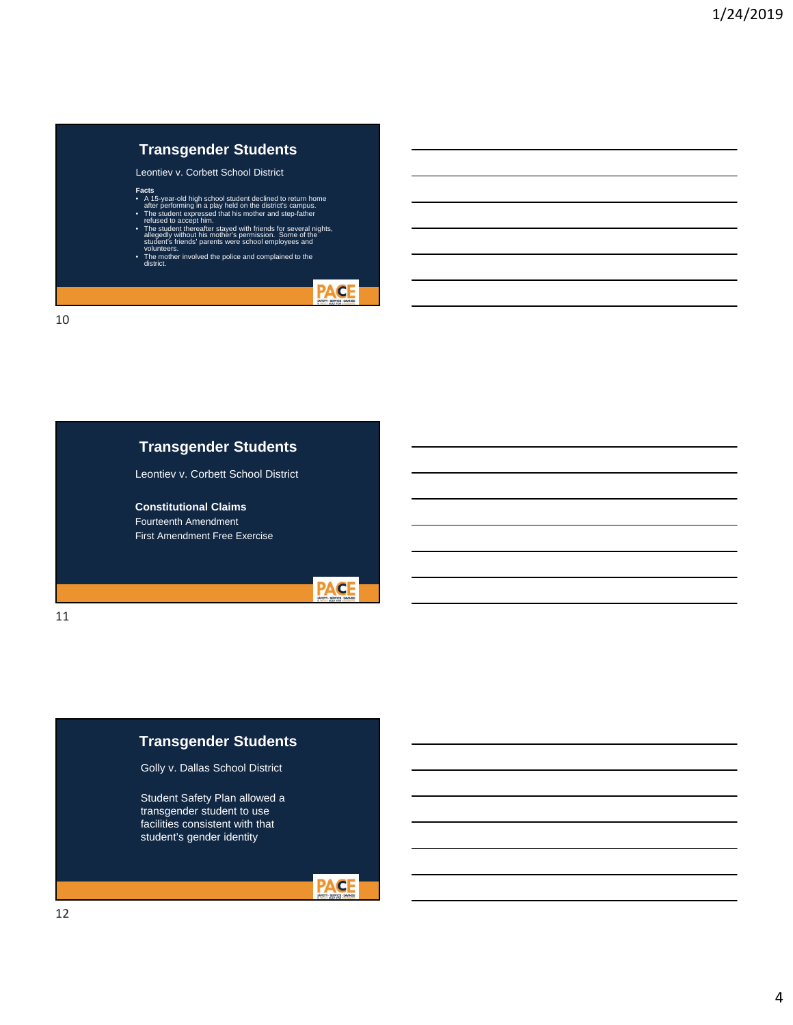### **Transgender Students**

Leontiev v. Corbett School District

- 
- **Facts**<br> **FACS**<br> **•** A 15-year-old high school student declined to return home<br>
after performing in a play held on the district's campus.<br> **•** The student expressed that his mother and step-father<br>
 Felused to accept him.
- The mother involved the police and complained to the district.
- 



10

## **Transgender Students**

Leontiev v. Corbett School District

#### **Constitutional Claims**

Fourteenth Amendment First Amendment Free Exercise



# **Transgender Students**

Golly v. Dallas School District

Student Safety Plan allowed a transgender student to use facilities consistent with that student's gender identity



11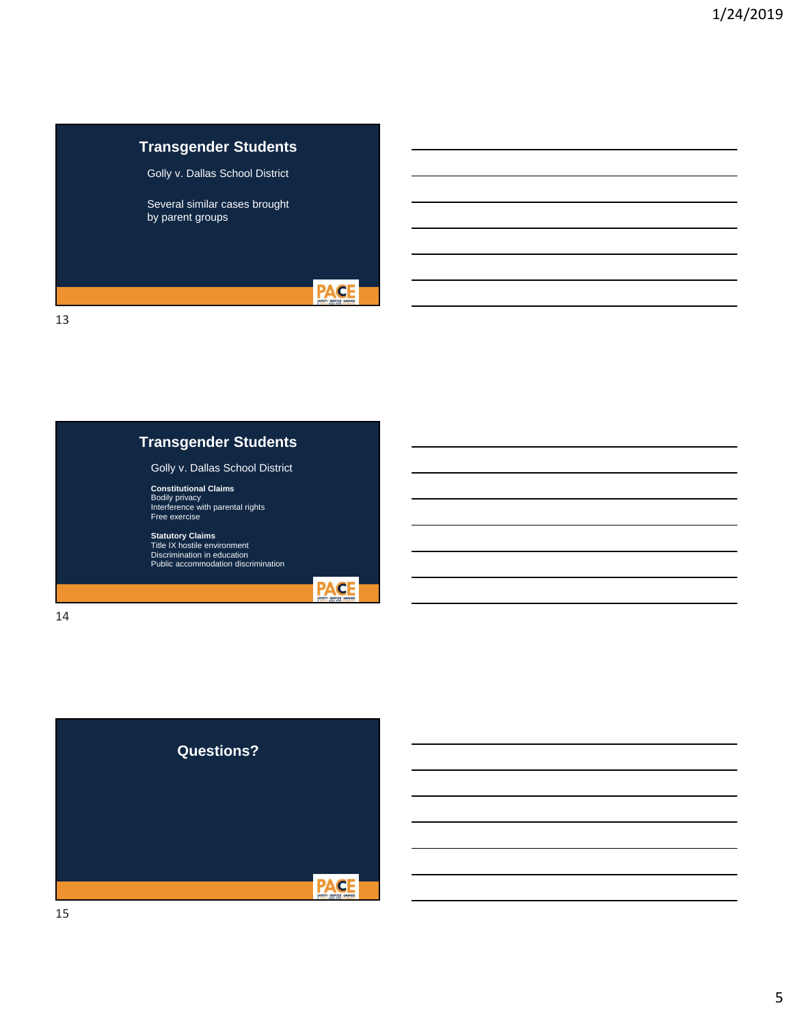# **Transgender Students**

Golly v. Dallas School District

Several similar cases brought by parent groups